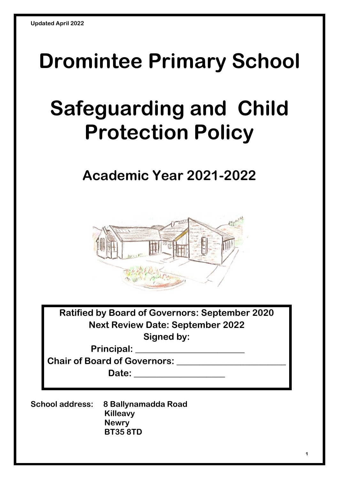## **Dromintee Primary School**

# **Safeguarding and Child Protection Policy**

## **Academic Year 2021-2022**



**Ratified by Board of Governors: September 2020 Next Review Date: September 2022 Signed by:**

**Principal: \_\_\_\_\_\_\_\_\_\_\_\_\_\_\_\_\_\_\_\_\_\_\_\_**

**Chair of Board of Governors: \_\_\_\_\_\_\_\_\_\_\_\_\_\_\_\_\_\_\_\_\_\_\_\_**

**Date: \_\_\_\_\_\_\_\_\_\_\_\_\_\_\_\_\_\_\_\_**

**School address: 8 Ballynamadda Road Killeavy Newry BT35 8TD**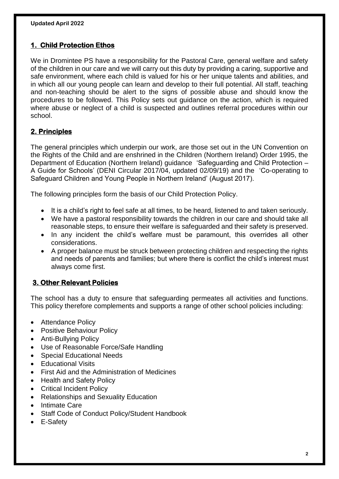#### **1. Child Protection Ethos**

We in Dromintee PS have a responsibility for the Pastoral Care, general welfare and safety of the children in our care and we will carry out this duty by providing a caring, supportive and safe environment, where each child is valued for his or her unique talents and abilities, and in which all our young people can learn and develop to their full potential. All staff, teaching and non-teaching should be alert to the signs of possible abuse and should know the procedures to be followed. This Policy sets out guidance on the action, which is required where abuse or neglect of a child is suspected and outlines referral procedures within our school.

#### **2. Principles**

The general principles which underpin our work, are those set out in the UN Convention on the Rights of the Child and are enshrined in the Children (Northern Ireland) Order 1995, the Department of Education (Northern Ireland) guidance 'Safeguarding and Child Protection – A Guide for Schools' (DENI Circular 2017/04, updated 02/09/19) and the 'Co-operating to Safeguard Children and Young People in Northern Ireland' (August 2017).

The following principles form the basis of our Child Protection Policy.

- It is a child's right to feel safe at all times, to be heard, listened to and taken seriously.
- We have a pastoral responsibility towards the children in our care and should take all reasonable steps, to ensure their welfare is safeguarded and their safety is preserved.
- In any incident the child's welfare must be paramount, this overrides all other considerations.
- A proper balance must be struck between protecting children and respecting the rights and needs of parents and families; but where there is conflict the child's interest must always come first.

#### **3. Other Relevant Policies**

The school has a duty to ensure that safeguarding permeates all activities and functions. This policy therefore complements and supports a range of other school policies including:

- Attendance Policy
- Positive Behaviour Policy
- Anti-Bullying Policy
- Use of Reasonable Force/Safe Handling
- Special Educational Needs
- Educational Visits
- First Aid and the Administration of Medicines
- Health and Safety Policy
- Critical Incident Policy
- Relationships and Sexuality Education
- Intimate Care
- Staff Code of Conduct Policy/Student Handbook
- E-Safety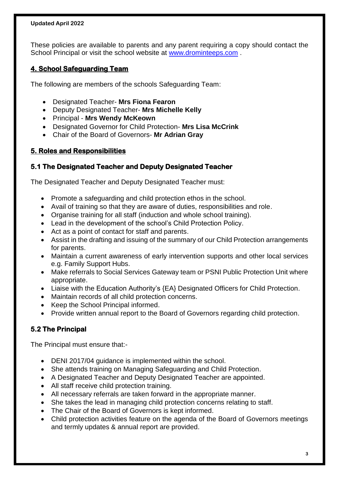These policies are available to parents and any parent requiring a copy should contact the School Principal or visit the school website at [www.drominteeps.com](http://www.drominteeps.com/) .

#### **4. School Safeguarding Team**

The following are members of the schools Safeguarding Team:

- Designated Teacher- **Mrs Fiona Fearon**
- Deputy Designated Teacher- **Mrs Michelle Kelly**
- Principal **Mrs Wendy McKeown**
- Designated Governor for Child Protection- **Mrs Lisa McCrink**
- Chair of the Board of Governors- **Mr Adrian Gray**

#### **5. Roles and Responsibilities**

#### **5.1 The Designated Teacher and Deputy Designated Teacher**

The Designated Teacher and Deputy Designated Teacher must:

- Promote a safeguarding and child protection ethos in the school.
- Avail of training so that they are aware of duties, responsibilities and role.
- Organise training for all staff (induction and whole school training).
- Lead in the development of the school's Child Protection Policy.
- Act as a point of contact for staff and parents.
- Assist in the drafting and issuing of the summary of our Child Protection arrangements for parents.
- Maintain a current awareness of early intervention supports and other local services e.g. Family Support Hubs.
- Make referrals to Social Services Gateway team or PSNI Public Protection Unit where appropriate.
- Liaise with the Education Authority's {EA} Designated Officers for Child Protection.
- Maintain records of all child protection concerns.
- Keep the School Principal informed.
- Provide written annual report to the Board of Governors regarding child protection.

#### **5.2 The Principal**

The Principal must ensure that:-

- DENI 2017/04 guidance is implemented within the school.
- She attends training on Managing Safeguarding and Child Protection.
- A Designated Teacher and Deputy Designated Teacher are appointed.
- All staff receive child protection training.
- All necessary referrals are taken forward in the appropriate manner.
- She takes the lead in managing child protection concerns relating to staff.
- The Chair of the Board of Governors is kept informed.
- Child protection activities feature on the agenda of the Board of Governors meetings and termly updates & annual report are provided.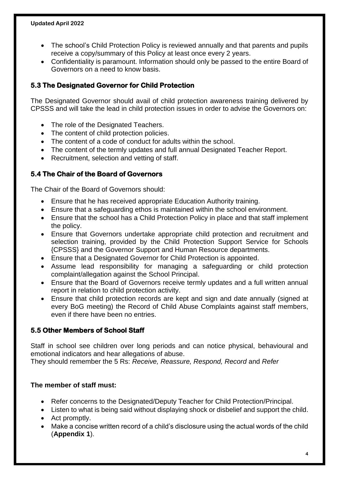- The school's Child Protection Policy is reviewed annually and that parents and pupils receive a copy/summary of this Policy at least once every 2 years.
- Confidentiality is paramount. Information should only be passed to the entire Board of Governors on a need to know basis.

#### **5.3 The Designated Governor for Child Protection**

The Designated Governor should avail of child protection awareness training delivered by CPSSS and will take the lead in child protection issues in order to advise the Governors on:

- The role of the Designated Teachers.
- The content of child protection policies.
- The content of a code of conduct for adults within the school.
- The content of the termly updates and full annual Designated Teacher Report.
- Recruitment, selection and vetting of staff.

#### **5.4 The Chair of the Board of Governors**

The Chair of the Board of Governors should:

- Ensure that he has received appropriate Education Authority training.
- Ensure that a safeguarding ethos is maintained within the school environment.
- Ensure that the school has a Child Protection Policy in place and that staff implement the policy.
- Ensure that Governors undertake appropriate child protection and recruitment and selection training, provided by the Child Protection Support Service for Schools {CPSSS} and the Governor Support and Human Resource departments.
- Ensure that a Designated Governor for Child Protection is appointed.
- Assume lead responsibility for managing a safeguarding or child protection complaint/allegation against the School Principal.
- Ensure that the Board of Governors receive termly updates and a full written annual report in relation to child protection activity.
- Ensure that child protection records are kept and sign and date annually (signed at every BoG meeting) the Record of Child Abuse Complaints against staff members, even if there have been no entries.

#### **5.5 Other Members of School Staff**

Staff in school see children over long periods and can notice physical, behavioural and emotional indicators and hear allegations of abuse.

They should remember the 5 Rs: *Receive, Reassure, Respond, Record* and *Refer*

#### **The member of staff must:**

- Refer concerns to the Designated/Deputy Teacher for Child Protection/Principal.
- Listen to what is being said without displaying shock or disbelief and support the child.
- Act promptly.
- Make a concise written record of a child's disclosure using the actual words of the child (**Appendix 1**).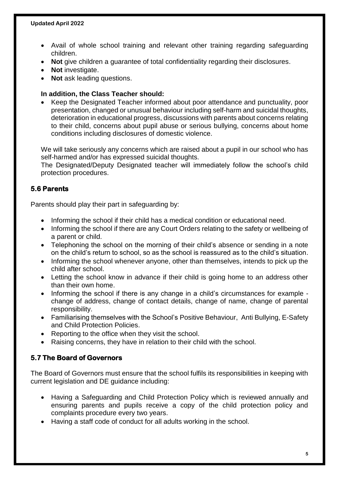- Avail of whole school training and relevant other training regarding safeguarding children.
- **Not** give children a guarantee of total confidentiality regarding their disclosures.
- **Not** investigate.
- Not ask leading questions.

#### **In addition, the Class Teacher should:**

• Keep the Designated Teacher informed about poor attendance and punctuality, poor presentation, changed or unusual behaviour including self-harm and suicidal thoughts, deterioration in educational progress, discussions with parents about concerns relating to their child, concerns about pupil abuse or serious bullying, concerns about home conditions including disclosures of domestic violence.

We will take seriously any concerns which are raised about a pupil in our school who has self-harmed and/or has expressed suicidal thoughts.

The Designated/Deputy Designated teacher will immediately follow the school's child protection procedures.

#### **5.6 Parents**

Parents should play their part in safeguarding by:

- Informing the school if their child has a medical condition or educational need.
- Informing the school if there are any Court Orders relating to the safety or wellbeing of a parent or child.
- Telephoning the school on the morning of their child's absence or sending in a note on the child's return to school, so as the school is reassured as to the child's situation.
- Informing the school whenever anyone, other than themselves, intends to pick up the child after school.
- Letting the school know in advance if their child is going home to an address other than their own home.
- Informing the school if there is any change in a child's circumstances for example change of address, change of contact details, change of name, change of parental responsibility.
- Familiarising themselves with the School's Positive Behaviour, Anti Bullying, E-Safety and Child Protection Policies.
- Reporting to the office when they visit the school.
- Raising concerns, they have in relation to their child with the school.

#### **5.7 The Board of Governors**

The Board of Governors must ensure that the school fulfils its responsibilities in keeping with current legislation and DE guidance including:

- Having a Safeguarding and Child Protection Policy which is reviewed annually and ensuring parents and pupils receive a copy of the child protection policy and complaints procedure every two years.
- Having a staff code of conduct for all adults working in the school.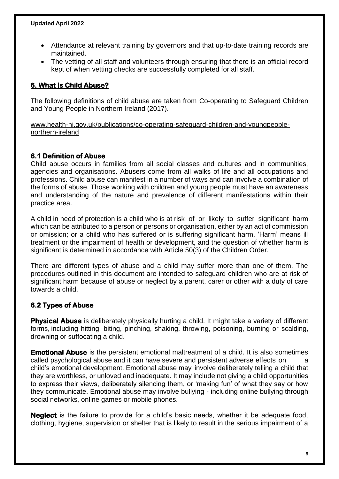- Attendance at relevant training by governors and that up-to-date training records are maintained.
- The vetting of all staff and volunteers through ensuring that there is an official record kept of when vetting checks are successfully completed for all staff.

#### **6. What Is Child Abuse?**

The following definitions of child abuse are taken from Co-operating to Safeguard Children and Young People in Northern Ireland (2017).

[www.health-ni.gov.uk/publications/co-operating-safeguard-children-and-youngpeople](http://www.health-ni.gov.uk/publications/co-operating-safeguard-children-and-youngpeople-northern-ireland)[northern-ireland](http://www.health-ni.gov.uk/publications/co-operating-safeguard-children-and-youngpeople-northern-ireland)

#### **6.1 Definition of Abuse**

Child abuse occurs in families from all social classes and cultures and in communities, agencies and organisations. Abusers come from all walks of life and all occupations and professions. Child abuse can manifest in a number of ways and can involve a combination of the forms of abuse. Those working with children and young people must have an awareness and understanding of the nature and prevalence of different manifestations within their practice area.

A child in need of protection is a child who is at risk of or likely to suffer significant harm which can be attributed to a person or persons or organisation, either by an act of commission or omission; or a child who has suffered or is suffering significant harm. 'Harm' means ill treatment or the impairment of health or development, and the question of whether harm is significant is determined in accordance with Article 50(3) of the Children Order.

There are different types of abuse and a child may suffer more than one of them. The procedures outlined in this document are intended to safeguard children who are at risk of significant harm because of abuse or neglect by a parent, carer or other with a duty of care towards a child.

#### **6.2 Types of Abuse**

**Physical Abuse** is deliberately physically hurting a child. It might take a variety of different forms, including hitting, biting, pinching, shaking, throwing, poisoning, burning or scalding, drowning or suffocating a child.

**Emotional Abuse** is the persistent emotional maltreatment of a child. It is also sometimes called psychological abuse and it can have severe and persistent adverse effects on a child's emotional development. Emotional abuse may involve deliberately telling a child that they are worthless, or unloved and inadequate. It may include not giving a child opportunities to express their views, deliberately silencing them, or 'making fun' of what they say or how they communicate. Emotional abuse may involve bullying - including online bullying through social networks, online games or mobile phones.

**Neglect** is the failure to provide for a child's basic needs, whether it be adequate food, clothing, hygiene, supervision or shelter that is likely to result in the serious impairment of a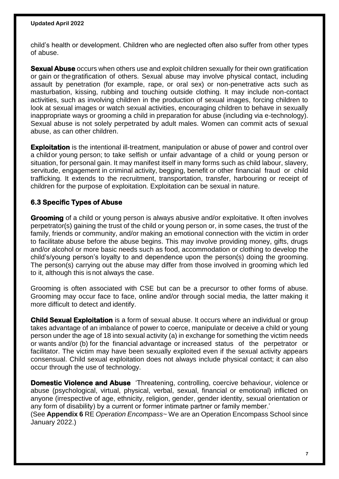child's health or development. Children who are neglected often also suffer from other types of abuse.

**Sexual Abuse** occurs when others use and exploit children sexually for their own gratification or gain or thegratification of others. Sexual abuse may involve physical contact, including assault by penetration (for example, rape, or oral sex) or non-penetrative acts such as masturbation, kissing, rubbing and touching outside clothing. It may include non-contact activities, such as involving children in the production of sexual images, forcing children to look at sexual images or watch sexual activities, encouraging children to behave in sexually inappropriate ways or grooming a child in preparation for abuse (including via e-technology). Sexual abuse is not solely perpetrated by adult males. Women can commit acts of sexual abuse, as can other children.

**Exploitation** is the intentional ill-treatment, manipulation or abuse of power and control over a childor young person; to take selfish or unfair advantage of a child or young person or situation, for personal gain. It may manifest itself in many forms such as child labour, slavery, servitude, engagement in criminal activity, begging, benefit or other financial fraud or child trafficking. It extends to the recruitment, transportation, transfer, harbouring or receipt of children for the purpose of exploitation. Exploitation can be sexual in nature.

#### **6.3 Specific Types of Abuse**

**Grooming** of a child or young person is always abusive and/or exploitative. It often involves perpetrator(s) gaining the trust of the child or young person or, in some cases, the trust of the family, friends or community, and/or making an emotional connection with the victim in order to facilitate abuse before the abuse begins. This may involve providing money, gifts, drugs and/or alcohol or more basic needs such as food, accommodation or clothing to develop the child's/young person's loyalty to and dependence upon the person(s) doing the grooming. The person(s) carrying out the abuse may differ from those involved in grooming which led to it, although this is not always the case.

Grooming is often associated with CSE but can be a precursor to other forms of abuse. Grooming may occur face to face, online and/or through social media, the latter making it more difficult to detect and identify.

**Child Sexual Exploitation** is a form of sexual abuse. It occurs where an individual or group takes advantage of an imbalance of power to coerce, manipulate or deceive a child or young person under the age of 18 into sexual activity (a) in exchange for something the victim needs or wants and/or (b) for the financial advantage or increased status of the perpetrator or facilitator. The victim may have been sexually exploited even if the sexual activity appears consensual. Child sexual exploitation does not always include physical contact; it can also occur through the use of technology.

**Domestic Violence and Abuse** 'Threatening, controlling, coercive behaviour, violence or abuse (psychological, virtual, physical, verbal, sexual, financial or emotional) inflicted on anyone (irrespective of age, ethnicity, religion, gender, gender identity, sexual orientation or any form of disability) by a current or former intimate partner or family member.'

(See **Appendix 6** RE *Operation Encompass*~ We are an Operation Encompass School since January 2022.)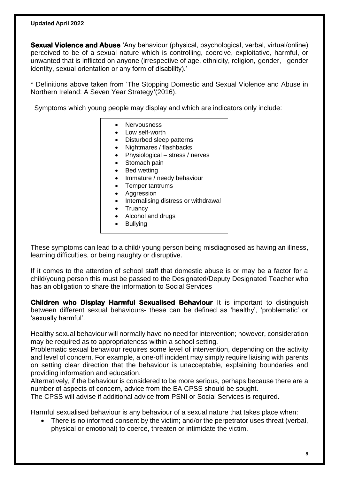**Sexual Violence and Abuse** 'Any behaviour (physical, psychological, verbal, virtual/online) perceived to be of a sexual nature which is controlling, coercive, exploitative, harmful, or unwanted that is inflicted on anyone (irrespective of age, ethnicity, religion, gender, gender identity, sexual orientation or any form of disability).'

\* Definitions above taken from 'The Stopping Domestic and Sexual Violence and Abuse in Northern Ireland: A Seven Year Strategy'(2016).

Symptoms which young people may display and which are indicators only include:

- Nervousness
	- Low self-worth
	- Disturbed sleep patterns
	- Nightmares / flashbacks
	- Physiological stress / nerves
	- Stomach pain
	- Bed wetting
	- Immature / needy behaviour
- Temper tantrums
- Aggression
- Internalising distress or withdrawal
- Truancy
- Alcohol and drugs
- Bullying

These symptoms can lead to a child/ young person being misdiagnosed as having an illness, learning difficulties, or being naughty or disruptive.

If it comes to the attention of school staff that domestic abuse is or may be a factor for a child/young person this must be passed to the Designated/Deputy Designated Teacher who has an obligation to share the information to Social Services

**Children who Display Harmful Sexualised Behaviour** It is important to distinguish between different sexual behaviours- these can be defined as 'healthy', 'problematic' or 'sexually harmful'.

Healthy sexual behaviour will normally have no need for intervention; however, consideration may be required as to appropriateness within a school setting.

Problematic sexual behaviour requires some level of intervention, depending on the activity and level of concern. For example, a one-off incident may simply require liaising with parents on setting clear direction that the behaviour is unacceptable, explaining boundaries and providing information and education.

Alternatively, if the behaviour is considered to be more serious, perhaps because there are a number of aspects of concern, advice from the EA CPSS should be sought.

The CPSS will advise if additional advice from PSNI or Social Services is required.

Harmful sexualised behaviour is any behaviour of a sexual nature that takes place when:

• There is no informed consent by the victim; and/or the perpetrator uses threat (verbal, physical or emotional) to coerce, threaten or intimidate the victim.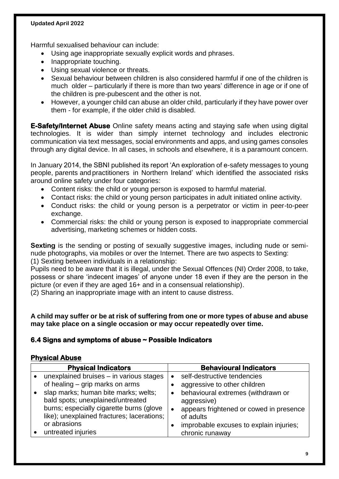Harmful sexualised behaviour can include:

- Using age inappropriate sexually explicit words and phrases.
- Inappropriate touching.
- Using sexual violence or threats.
- Sexual behaviour between children is also considered harmful if one of the children is much older – particularly if there is more than two years' difference in age or if one of the children is pre-pubescent and the other is not.
- However, a younger child can abuse an older child, particularly if they have power over them - for example, if the older child is disabled.

**E-Safety/Internet Abuse** Online safety means acting and staying safe when using digital technologies. It is wider than simply internet technology and includes electronic communication via text messages, social environments and apps, and using games consoles through any digital device. In all cases, in schools and elsewhere, it is a paramount concern.

In January 2014, the SBNI published its report 'An exploration of e-safety messages to young people, parents and practitioners in Northern Ireland' which identified the associated risks around online safety under four categories:

- Content risks: the child or young person is exposed to harmful material.
- Contact risks: the child or young person participates in adult initiated online activity.
- Conduct risks: the child or young person is a perpetrator or victim in peer-to-peer exchange.
- Commercial risks: the child or young person is exposed to inappropriate commercial advertising, marketing schemes or hidden costs.

**Sexting** is the sending or posting of sexually suggestive images, including nude or seminude photographs, via mobiles or over the Internet. There are two aspects to Sexting: (1) Sexting between individuals in a relationship:

Pupils need to be aware that it is illegal, under the Sexual Offences (NI) Order 2008, to take, possess or share 'indecent images' of anyone under 18 even if they are the person in the picture (or even if they are aged 16+ and in a consensual relationship).

(2) Sharing an inappropriate image with an intent to cause distress.

**A child may suffer or be at risk of suffering from one or more types of abuse and abuse may take place on a single occasion or may occur repeatedly over time.**

#### **6.4 Signs and symptoms of abuse ~ Possible Indicators**

#### **Physical Abuse**

| <b>Physical Indicators</b> |                                                                                                                                                                                     |           | <b>Behavioural Indicators</b>                                                                                                                        |  |  |
|----------------------------|-------------------------------------------------------------------------------------------------------------------------------------------------------------------------------------|-----------|------------------------------------------------------------------------------------------------------------------------------------------------------|--|--|
|                            | unexplained bruises - in various stages                                                                                                                                             |           | self-destructive tendencies                                                                                                                          |  |  |
|                            | of healing – grip marks on arms                                                                                                                                                     |           | aggressive to other children                                                                                                                         |  |  |
|                            | slap marks; human bite marks; welts;<br>bald spots; unexplained/untreated<br>burns; especially cigarette burns (glove<br>like); unexplained fractures; lacerations;<br>or abrasions | $\bullet$ | behavioural extremes (withdrawn or<br>aggressive)<br>appears frightened or cowed in presence<br>of adults<br>improbable excuses to explain injuries; |  |  |
|                            | untreated injuries                                                                                                                                                                  |           | chronic runaway                                                                                                                                      |  |  |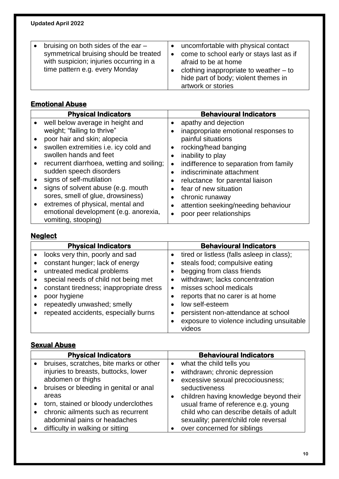| bruising on both sides of the ear -<br>symmetrical bruising should be treated<br>with suspicion; injuries occurring in a<br>time pattern e.g. every Monday | $\bullet$ | uncomfortable with physical contact<br>come to school early or stays last as if<br>afraid to be at home<br>clothing inappropriate to weather $-$ to<br>hide part of body; violent themes in |
|------------------------------------------------------------------------------------------------------------------------------------------------------------|-----------|---------------------------------------------------------------------------------------------------------------------------------------------------------------------------------------------|
|                                                                                                                                                            |           | artwork or stories                                                                                                                                                                          |
|                                                                                                                                                            |           |                                                                                                                                                                                             |

#### **Emotional Abuse**

|           | <b>Physical Indicators</b>                | <b>Behavioural Indicators</b>                       |
|-----------|-------------------------------------------|-----------------------------------------------------|
| $\bullet$ | well below average in height and          | apathy and dejection                                |
|           | weight; "failing to thrive"               | inappropriate emotional responses to<br>٠           |
| $\bullet$ | poor hair and skin; alopecia              | painful situations                                  |
| $\bullet$ | swollen extremities i.e. icy cold and     | rocking/head banging                                |
|           | swollen hands and feet                    | inability to play<br>٠                              |
| $\bullet$ | recurrent diarrhoea, wetting and soiling; | indifference to separation from family<br>$\bullet$ |
|           | sudden speech disorders                   | indiscriminate attachment                           |
|           | signs of self-mutilation                  | reluctance for parental liaison                     |
|           | signs of solvent abuse (e.g. mouth        | fear of new situation                               |
|           | sores, smell of glue, drowsiness)         | chronic runaway<br>$\bullet$                        |
| $\bullet$ | extremes of physical, mental and          | attention seeking/needing behaviour                 |
|           | emotional development (e.g. anorexia,     | poor peer relationships                             |
|           | vomiting, stooping)                       |                                                     |

## **Neglect**

| <b>Physical Indicators</b>              | <b>Behavioural Indicators</b>              |
|-----------------------------------------|--------------------------------------------|
| looks very thin, poorly and sad         | tired or listless (falls asleep in class); |
| constant hunger; lack of energy         | steals food; compulsive eating             |
| untreated medical problems              | begging from class friends                 |
| special needs of child not being met    | withdrawn; lacks concentration             |
| constant tiredness; inappropriate dress | misses school medicals                     |
| poor hygiene                            | reports that no carer is at home           |
| repeatedly unwashed; smelly             | low self-esteem                            |
| repeated accidents, especially burns    | persistent non-attendance at school        |
|                                         | exposure to violence including unsuitable  |
|                                         | videos                                     |

#### **Sexual Abuse**

|           | <b>Physical Indicators</b>              |           | <b>Behavioural Indicators</b>           |
|-----------|-----------------------------------------|-----------|-----------------------------------------|
|           | bruises, scratches, bite marks or other | $\bullet$ | what the child tells you                |
|           | injuries to breasts, buttocks, lower    |           | withdrawn; chronic depression           |
|           | abdomen or thighs                       |           | excessive sexual precociousness;        |
| $\bullet$ | bruises or bleeding in genital or anal  |           | seductiveness                           |
|           | areas                                   |           | children having knowledge beyond their  |
|           | torn, stained or bloody underclothes    |           | usual frame of reference e.g. young     |
| $\bullet$ | chronic ailments such as recurrent      |           | child who can describe details of adult |
|           | abdominal pains or headaches            |           | sexuality; parent/child role reversal   |
|           | difficulty in walking or sitting        |           | over concerned for siblings             |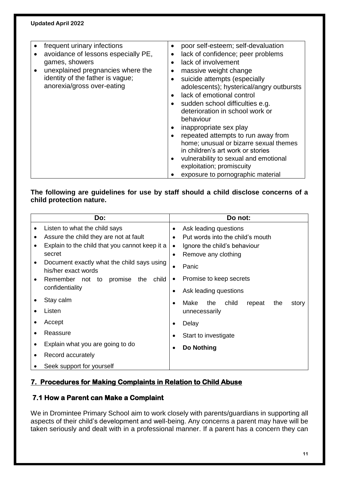| frequent urinary infections         | $\bullet$ | poor self-esteem; self-devaluation       |
|-------------------------------------|-----------|------------------------------------------|
| avoidance of lessons especially PE, | ٠         | lack of confidence; peer problems        |
| games, showers                      |           | lack of involvement                      |
| unexplained pregnancies where the   |           | massive weight change                    |
| identity of the father is vague;    |           | suicide attempts (especially             |
| anorexia/gross over-eating          |           | adolescents); hysterical/angry outbursts |
|                                     |           | lack of emotional control                |
|                                     |           | sudden school difficulties e.g.          |
|                                     |           | deterioration in school work or          |
|                                     |           | behaviour                                |
|                                     |           | inappropriate sex play                   |
|                                     |           | repeated attempts to run away from       |
|                                     |           | home; unusual or bizarre sexual themes   |
|                                     |           | in children's art work or stories        |
|                                     |           | vulnerability to sexual and emotional    |
|                                     |           | exploitation; promiscuity                |
|                                     |           | exposure to pornographic material        |

#### **The following are guidelines for use by staff should a child disclose concerns of a child protection nature.**

|   | Do:                                                                                                                       | Do not:                                                                             |                                                                               |  |
|---|---------------------------------------------------------------------------------------------------------------------------|-------------------------------------------------------------------------------------|-------------------------------------------------------------------------------|--|
|   | Listen to what the child says<br>Assure the child they are not at fault<br>Explain to the child that you cannot keep it a | Ask leading questions<br>$\bullet$<br>Put words into the child's mouth<br>$\bullet$ |                                                                               |  |
|   | secret                                                                                                                    |                                                                                     | Ignore the child's behaviour<br>$\bullet$<br>Remove any clothing<br>$\bullet$ |  |
|   | Document exactly what the child says using<br>his/her exact words                                                         | $\bullet$                                                                           | Panic                                                                         |  |
| ٠ | promise<br>Remember not<br>the<br>child<br>to                                                                             | $\bullet$                                                                           | Promise to keep secrets                                                       |  |
|   | confidentiality                                                                                                           | $\bullet$                                                                           | Ask leading questions                                                         |  |
|   | Stay calm                                                                                                                 | $\bullet$                                                                           | Make<br>the<br>child<br>the<br>repeat<br>story                                |  |
|   | Listen                                                                                                                    |                                                                                     | unnecessarily                                                                 |  |
|   | Accept                                                                                                                    | $\bullet$                                                                           | Delay                                                                         |  |
|   | Reassure                                                                                                                  | $\bullet$                                                                           | Start to investigate                                                          |  |
|   | Explain what you are going to do                                                                                          | Do Nothing<br>$\bullet$                                                             |                                                                               |  |
|   | Record accurately                                                                                                         |                                                                                     |                                                                               |  |
|   | Seek support for yourself                                                                                                 |                                                                                     |                                                                               |  |

#### **7. Procedures for Making Complaints in Relation to Child Abuse**

#### **7.1 How a Parent can Make a Complaint**

We in Dromintee Primary School aim to work closely with parents/guardians in supporting all aspects of their child's development and well-being. Any concerns a parent may have will be taken seriously and dealt with in a professional manner. If a parent has a concern they can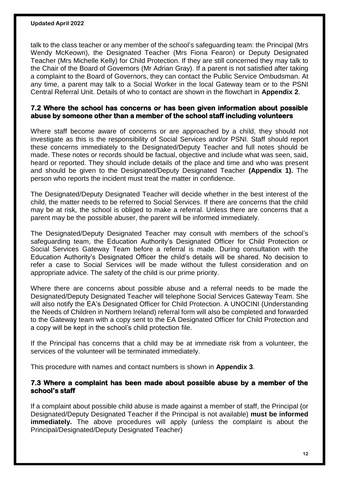talk to the class teacher or any member of the school's safeguarding team: the Principal (Mrs Wendy McKeown), the Designated Teacher (Mrs Fiona Fearon) or Deputy Designated Teacher (Mrs Michelle Kelly) for Child Protection. If they are still concerned they may talk to the Chair of the Board of Governors (Mr Adrian Gray). If a parent is not satisfied after taking a complaint to the Board of Governors, they can contact the Public Service Ombudsman. At any time, a parent may talk to a Social Worker in the local Gateway team or to the PSNI Central Referral Unit. Details of who to contact are shown in the flowchart in **Appendix 2**.

#### **7.2 Where the school has concerns or has been given information about possible abuse by someone other than a member of the school staff including volunteers**

Where staff become aware of concerns or are approached by a child, they should not investigate as this is the responsibility of Social Services and/or PSNI. Staff should report these concerns immediately to the Designated/Deputy Teacher and full notes should be made. These notes or records should be factual, objective and include what was seen, said, heard or reported. They should include details of the place and time and who was present and should be given to the Designated/Deputy Designated Teacher **(Appendix 1).** The person who reports the incident must treat the matter in confidence.

The Designated/Deputy Designated Teacher will decide whether in the best interest of the child, the matter needs to be referred to Social Services. If there are concerns that the child may be at risk, the school is obliged to make a referral. Unless there are concerns that a parent may be the possible abuser, the parent will be informed immediately.

The Designated/Deputy Designated Teacher may consult with members of the school's safeguarding team, the Education Authority's Designated Officer for Child Protection or Social Services Gateway Team before a referral is made. During consultation with the Education Authority's Designated Officer the child's details will be shared. No decision to refer a case to Social Services will be made without the fullest consideration and on appropriate advice. The safety of the child is our prime priority.

Where there are concerns about possible abuse and a referral needs to be made the Designated/Deputy Designated Teacher will telephone Social Services Gateway Team. She will also notify the EA's Designated Officer for Child Protection. A UNOCINI (Understanding the Needs of Children in Northern Ireland) referral form will also be completed and forwarded to the Gateway team with a copy sent to the EA Designated Officer for Child Protection and a copy will be kept in the school's child protection file.

If the Principal has concerns that a child may be at immediate risk from a volunteer, the services of the volunteer will be terminated immediately.

This procedure with names and contact numbers is shown in **Appendix 3**.

#### **7.3 Where a complaint has been made about possible abuse by a member of the school's staff**

If a complaint about possible child abuse is made against a member of staff, the Principal {or Designated/Deputy Designated Teacher if the Principal is not available) **must be informed immediately.** The above procedures will apply (unless the complaint is about the Principal/Designated/Deputy Designated Teacher)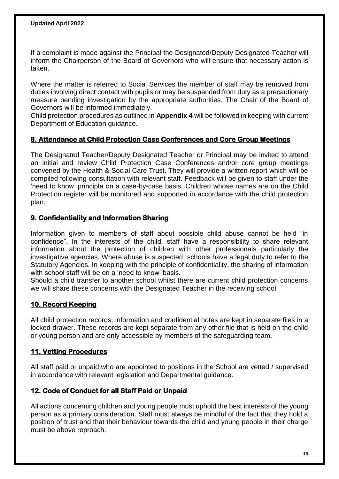If a complaint is made against the Principal the Designated/Deputy Designated Teacher will inform the Chairperson of the Board of Governors who will ensure that necessary action is taken.

Where the matter is referred to Social Services the member of staff may be removed from duties involving direct contact with pupils or may be suspended from duty as a precautionary measure pending investigation by the appropriate authorities. The Chair of the Board of Governors will be informed immediately.

Child protection procedures as outlined in **Appendix 4** will be followed in keeping with current Department of Education guidance.

#### **8. Attendance at Child Protection Case Conferences and Core Group Meetings**

The Designated Teacher/Deputy Designated Teacher or Principal may be invited to attend an initial and review Child Protection Case Conferences and/or core group meetings convened by the Health & Social Care Trust. They will provide a written report which will be compiled following consultation with relevant staff. Feedback will be given to staff under the 'need to know 'principle on a case-by-case basis. Children whose names are on the Child Protection register will be monitored and supported in accordance with the child protection plan.

#### **9. Confidentiality and Information Sharing**

Information given to members of staff about possible child abuse cannot be held "in confidence". In the interests of the child, staff have a responsibility to share relevant information about the protection of children with other professionals particularly the investigative agencies. Where abuse is suspected, schools have a legal duty to refer to the Statutory Agencies. In keeping with the principle of confidentiality, the sharing of information with school staff will be on a 'need to know' basis.

Should a child transfer to another school whilst there are current child protection concerns we will share these concerns with the Designated Teacher in the receiving school.

#### **10. Record Keeping**

All child protection records, information and confidential notes are kept in separate files in a locked drawer. These records are kept separate from any other file that is held on the child or young person and are only accessible by members of the safeguarding team.

#### **11. Vetting Procedures**

All staff paid or unpaid who are appointed to positions in the School are vetted / supervised in accordance with relevant legislation and Departmental guidance.

#### **12. Code of Conduct for all Staff Paid or Unpaid**

All actions concerning children and young people must uphold the best interests of the young person as a primary consideration. Staff must always be mindful of the fact that they hold a position of trust and that their behaviour towards the child and young people in their charge must be above reproach.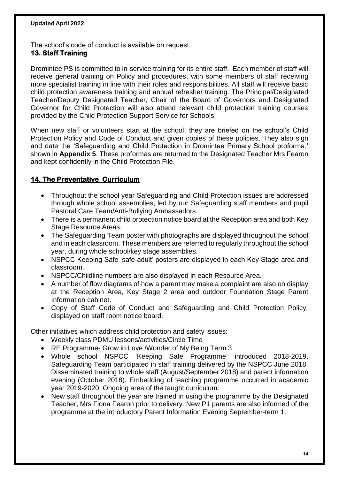The school's code of conduct is available on request.

#### **13. Staff Training**

Dromintee PS is committed to in-service training for its entire staff. Each member of staff will receive general training on Policy and procedures, with some members of staff receiving more specialist training in line with their roles and responsibilities. All staff will receive basic child protection awareness training and annual refresher training. The Principal/Designated Teacher/Deputy Designated Teacher, Chair of the Board of Governors and Designated Governor for Child Protection will also attend relevant child protection training courses provided by the Child Protection Support Service for Schools.

When new staff or volunteers start at the school, they are briefed on the school's Child Protection Policy and Code of Conduct and given copies of these policies. They also sign and date the 'Safeguarding and Child Protection in Dromintee Primary School proforma,' shown in **Appendix 5**. These proformas are returned to the Designated Teacher Mrs Fearon and kept confidently in the Child Protection File.

#### **14. The Preventative Curriculum**

- Throughout the school year Safeguarding and Child Protection issues are addressed through whole school assemblies, led by our Safeguarding staff members and pupil Pastoral Care Team/Anti-Bullying Ambassadors.
- There is a permanent child protection notice board at the Reception area and both Key Stage Resource Areas.
- The Safeguarding Team poster with photographs are displayed throughout the school and in each classroom. These members are referred to regularly throughout the school year, during whole school/key stage assemblies.
- NSPCC Keeping Safe 'safe adult' posters are displayed in each Key Stage area and classroom.
- NSPCC/Childline numbers are also displayed in each Resource Area.
- A number of flow diagrams of how a parent may make a complaint are also on display at the Reception Area, Key Stage 2 area and outdoor Foundation Stage Parent Information cabinet.
- Copy of Staff Code of Conduct and Safeguarding and Child Protection Policy, displayed on staff room notice board.

Other initiatives which address child protection and safety issues:

- Weekly class PDMU lessons/activities/Circle Time
- RE Programme- Grow in Love /Wonder of My Being Term 3
- Whole school NSPCC 'Keeping Safe Programme' introduced 2018-2019. Safeguarding Team participated in staff training delivered by the NSPCC June 2018. Disseminated training to whole staff (August/September 2018) and parent information evening (October 2018). Embedding of teaching programme occurred in academic year 2019-2020. Ongoing area of the taught curriculum.
- New staff throughout the year are trained in using the programme by the Designated Teacher, Mrs Fiona Fearon prior to delivery. New P1 parents are also informed of the programme at the introductory Parent Information Evening September-term 1.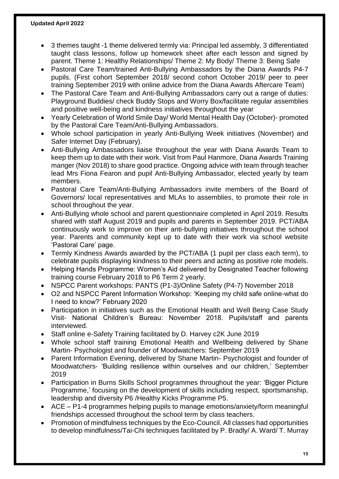- 3 themes taught -1 theme delivered termly via: Principal led assembly, 3 differentiated taught class lessons, follow up homework sheet after each lesson and signed by parent. Theme 1: Healthy Relationships/ Theme 2: My Body/ Theme 3: Being Safe
- Pastoral Care Team/trained Anti-Bullying Ambassadors by the Diana Awards P4-7 pupils. (First cohort September 2018/ second cohort October 2019/ peer to peer training September 2019 with online advice from the Diana Awards Aftercare Team)
- The Pastoral Care Team and Anti-Bullying Ambassadors carry out a range of duties: Playground Buddies/ check Buddy Stops and Worry Box/facilitate regular assemblies and positive well-being and kindness initiatives throughout the year
- Yearly Celebration of World Smile Day/ World Mental Health Day (October)- promoted by the Pastoral Care Team/Anti-Bullying Ambassadors.
- Whole school participation in yearly Anti-Bullying Week initiatives (November) and Safer Internet Day (February).
- Anti-Bullying Ambassadors liaise throughout the year with Diana Awards Team to keep them up to date with their work. Visit from Paul Hanmore, Diana Awards Training manger (Nov 2018) to share good practice. Ongoing advice with team through teacher lead Mrs Fiona Fearon and pupil Anti-Bullying Ambassador, elected yearly by team members.
- Pastoral Care Team/Anti-Bullying Ambassadors invite members of the Board of Governors/ local representatives and MLAs to assemblies, to promote their role in school throughout the year.
- Anti-Bullying whole school and parent questionnaire completed in April 2019. Results shared with staff August 2019 and pupils and parents in September 2019. PCT/ABA continuously work to improve on their anti-bullying initiatives throughout the school year. Parents and community kept up to date with their work via school website 'Pastoral Care' page.
- Termly Kindness Awards awarded by the PCT/ABA (1 pupil per class each term), to celebrate pupils displaying kindness to their peers and acting as positive role models.
- Helping Hands Programme: Women's Aid delivered by Designated Teacher following training course February 2018 to P6 Term 2 yearly.
- NSPCC Parent workshops: PANTS (P1-3)/Online Safety (P4-7) November 2018
- O2 and NSPCC Parent Information Workshop: 'Keeping my child safe online-what do I need to know?' February 2020
- Participation in initiatives such as the Emotional Health and Well Being Case Study Visit- National Children's Bureau: November 2018. Pupils/staff and parents interviewed.
- Staff online e-Safety Training facilitated by D. Harvey c2K June 2019
- Whole school staff training Emotional Health and Wellbeing delivered by Shane Martin- Psychologist and founder of Moodwatchers: September 2019
- Parent Information Evening, delivered by Shane Martin- Psychologist and founder of Moodwatchers- 'Building resilience within ourselves and our children,' September 2019
- Participation in Burns Skills School programmes throughout the year: 'Bigger Picture Programme,' focusing on the development of skills including respect, sportsmanship, leadership and diversity P6 /Healthy Kicks Programme P5.
- ACE P1-4 programmes helping pupils to manage emotions/anxiety/form meaningful friendships accessed throughout the school term by class teachers.
- Promotion of mindfulness techniques by the Eco-Council. All classes had opportunities to develop mindfulness/Tai-Chi techniques facilitated by P. Bradly/ A. Ward/ T. Murray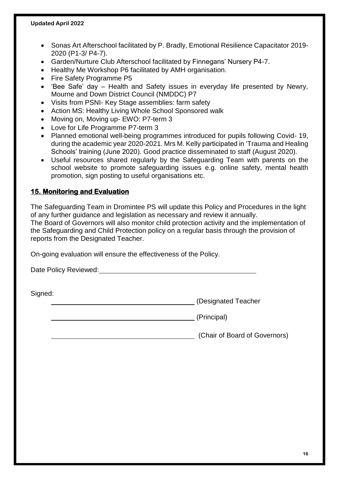- Sonas Art Afterschool facilitated by P. Bradly, Emotional Resilience Capacitator 2019- 2020 (P1-3/ P4-7).
- Garden/Nurture Club Afterschool facilitated by Finnegans' Nursery P4-7.
- Healthy Me Workshop P6 facilitated by AMH organisation.
- Fire Safety Programme P5
- 'Bee Safe' day Health and Safety issues in everyday life presented by Newry, Mourne and Down District Council (NMDDC) P7
- Visits from PSNI- Key Stage assemblies: farm safety
- Action MS: Healthy Living Whole School Sponsored walk
- Moving on, Moving up- EWO: P7-term 3
- Love for Life Programme P7-term 3
- Planned emotional well-being programmes introduced for pupils following Covid- 19, during the academic year 2020-2021. Mrs M. Kelly participated in 'Trauma and Healing Schools' training (June 2020). Good practice disseminated to staff (August 2020).
- Useful resources shared regularly by the Safeguarding Team with parents on the school website to promote safeguarding issues e.g. online safety, mental health promotion, sign posting to useful organisations etc.

#### **15. Monitoring and Evaluation**

The Safeguarding Team in Dromintee PS will update this Policy and Procedures in the light of any further guidance and legislation as necessary and review it annually. The Board of Governors will also monitor child protection activity and the implementation of the Safeguarding and Child Protection policy on a regular basis through the provision of reports from the Designated Teacher.

On-going evaluation will ensure the effectiveness of the Policy.

Date Policy Reviewed:

Signed:

(Designated Teacher

(Principal)

(Chair of Board of Governors)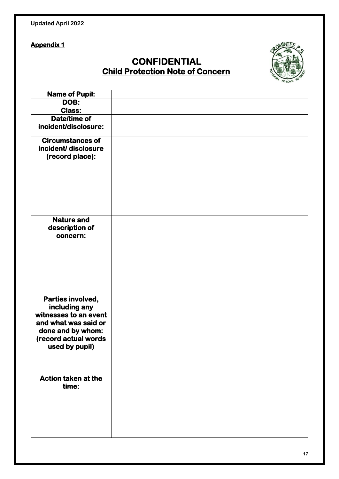| <b>Updated April 2022</b> |  |  |
|---------------------------|--|--|
|---------------------------|--|--|

## **CONFIDENTIAL Child Protection Note of Concern**



| <b>Name of Pupil:</b>      |  |
|----------------------------|--|
| DOB:                       |  |
| <b>Class:</b>              |  |
| Date/time of               |  |
| incident/disclosure:       |  |
| <b>Circumstances of</b>    |  |
| incident/disclosure        |  |
| (record place):            |  |
|                            |  |
|                            |  |
|                            |  |
|                            |  |
|                            |  |
|                            |  |
| <b>Nature and</b>          |  |
| description of             |  |
| concern:                   |  |
|                            |  |
|                            |  |
|                            |  |
|                            |  |
|                            |  |
|                            |  |
| Parties involved,          |  |
| including any              |  |
| witnesses to an event      |  |
| and what was said or       |  |
| done and by whom:          |  |
| (record actual words       |  |
| used by pupil)             |  |
|                            |  |
|                            |  |
| <b>Action taken at the</b> |  |
| time:                      |  |
|                            |  |
|                            |  |
|                            |  |
|                            |  |
|                            |  |
|                            |  |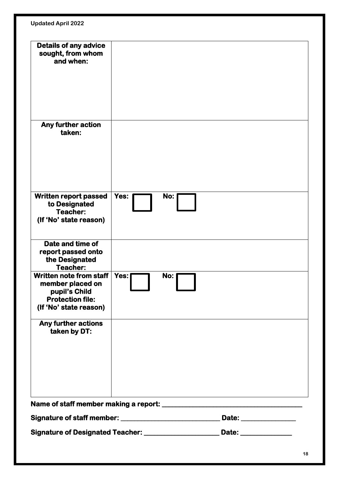| <b>Details of any advice</b>                                                     |      |     |                                                                                                                                                                                                                                                                                                                                                                                                                       |
|----------------------------------------------------------------------------------|------|-----|-----------------------------------------------------------------------------------------------------------------------------------------------------------------------------------------------------------------------------------------------------------------------------------------------------------------------------------------------------------------------------------------------------------------------|
| sought, from whom                                                                |      |     |                                                                                                                                                                                                                                                                                                                                                                                                                       |
| and when:                                                                        |      |     |                                                                                                                                                                                                                                                                                                                                                                                                                       |
|                                                                                  |      |     |                                                                                                                                                                                                                                                                                                                                                                                                                       |
|                                                                                  |      |     |                                                                                                                                                                                                                                                                                                                                                                                                                       |
|                                                                                  |      |     |                                                                                                                                                                                                                                                                                                                                                                                                                       |
|                                                                                  |      |     |                                                                                                                                                                                                                                                                                                                                                                                                                       |
|                                                                                  |      |     |                                                                                                                                                                                                                                                                                                                                                                                                                       |
|                                                                                  |      |     |                                                                                                                                                                                                                                                                                                                                                                                                                       |
| Any further action                                                               |      |     |                                                                                                                                                                                                                                                                                                                                                                                                                       |
| taken:                                                                           |      |     |                                                                                                                                                                                                                                                                                                                                                                                                                       |
|                                                                                  |      |     |                                                                                                                                                                                                                                                                                                                                                                                                                       |
|                                                                                  |      |     |                                                                                                                                                                                                                                                                                                                                                                                                                       |
|                                                                                  |      |     |                                                                                                                                                                                                                                                                                                                                                                                                                       |
|                                                                                  |      |     |                                                                                                                                                                                                                                                                                                                                                                                                                       |
|                                                                                  |      |     |                                                                                                                                                                                                                                                                                                                                                                                                                       |
|                                                                                  |      |     |                                                                                                                                                                                                                                                                                                                                                                                                                       |
| <b>Written report passed</b>                                                     | Yes: | No: |                                                                                                                                                                                                                                                                                                                                                                                                                       |
| to Designated<br>Teacher:                                                        |      |     |                                                                                                                                                                                                                                                                                                                                                                                                                       |
| (If 'No' state reason)                                                           |      |     |                                                                                                                                                                                                                                                                                                                                                                                                                       |
|                                                                                  |      |     |                                                                                                                                                                                                                                                                                                                                                                                                                       |
|                                                                                  |      |     |                                                                                                                                                                                                                                                                                                                                                                                                                       |
| Date and time of                                                                 |      |     |                                                                                                                                                                                                                                                                                                                                                                                                                       |
| report passed onto                                                               |      |     |                                                                                                                                                                                                                                                                                                                                                                                                                       |
| the Designated                                                                   |      |     |                                                                                                                                                                                                                                                                                                                                                                                                                       |
| Teacher:<br>Written note from staff                                              |      |     |                                                                                                                                                                                                                                                                                                                                                                                                                       |
| member placed on                                                                 | Yes: | No: |                                                                                                                                                                                                                                                                                                                                                                                                                       |
| pupil's Child                                                                    |      |     |                                                                                                                                                                                                                                                                                                                                                                                                                       |
| <b>Protection file:</b>                                                          |      |     |                                                                                                                                                                                                                                                                                                                                                                                                                       |
| (If 'No' state reason)                                                           |      |     |                                                                                                                                                                                                                                                                                                                                                                                                                       |
|                                                                                  |      |     |                                                                                                                                                                                                                                                                                                                                                                                                                       |
| <b>Any further actions</b>                                                       |      |     |                                                                                                                                                                                                                                                                                                                                                                                                                       |
| taken by DT:                                                                     |      |     |                                                                                                                                                                                                                                                                                                                                                                                                                       |
|                                                                                  |      |     |                                                                                                                                                                                                                                                                                                                                                                                                                       |
|                                                                                  |      |     |                                                                                                                                                                                                                                                                                                                                                                                                                       |
|                                                                                  |      |     |                                                                                                                                                                                                                                                                                                                                                                                                                       |
|                                                                                  |      |     |                                                                                                                                                                                                                                                                                                                                                                                                                       |
|                                                                                  |      |     |                                                                                                                                                                                                                                                                                                                                                                                                                       |
|                                                                                  |      |     |                                                                                                                                                                                                                                                                                                                                                                                                                       |
| Name of staff member making a report: ___________                                |      |     | $\frac{1}{1-\frac{1}{1-\frac{1}{1-\frac{1}{1-\frac{1}{1-\frac{1}{1-\frac{1}{1-\frac{1}{1-\frac{1}{1-\frac{1}{1-\frac{1}{1-\frac{1}{1-\frac{1}{1-\frac{1}{1-\frac{1}{1-\frac{1}{1-\frac{1}{1-\frac{1}{1-\frac{1}{1-\frac{1}{1-\frac{1}{1-\frac{1}{1-\frac{1}{1-\frac{1}{1-\frac{1}{1-\frac{1}{1-\frac{1}{1-\frac{1}{1-\frac{1}{1-\frac{1}{1-\frac{1}{1-\frac{1}{1-\frac{1}{1-\frac{1}{1-\frac{1}{1-\frac{1}{1-\frac{1$ |
|                                                                                  |      |     | Date: ________________                                                                                                                                                                                                                                                                                                                                                                                                |
|                                                                                  |      |     |                                                                                                                                                                                                                                                                                                                                                                                                                       |
| Signature of Designated Teacher: _________________________ Date: _______________ |      |     |                                                                                                                                                                                                                                                                                                                                                                                                                       |
|                                                                                  |      |     |                                                                                                                                                                                                                                                                                                                                                                                                                       |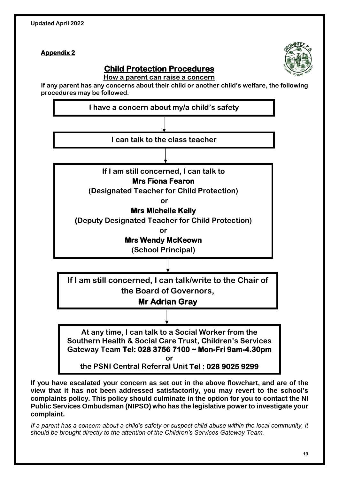

## **Child Protection Procedures**

**How a parent can raise a concern**

**If any parent has any concerns about their child or another child's welfare, the following procedures may be followed.** 



**If you have escalated your concern as set out in the above flowchart, and are of the view that it has not been addressed satisfactorily, you may revert to the school's complaints policy. This policy should culminate in the option for you to contact the NI Public Services Ombudsman (NIPSO) who has the legislative power to investigate your complaint.** 

*If a parent has a concern about a child's safety or suspect child abuse within the local community, it should be brought directly to the attention of the Children's Services Gateway Team.*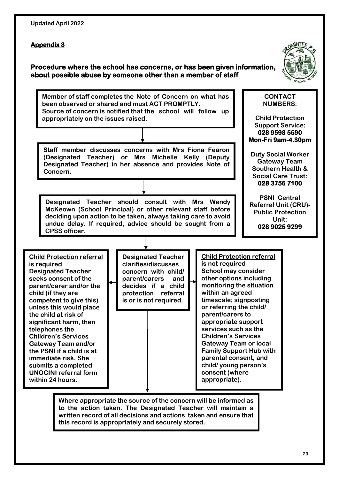| <b>Updated April 2022</b> |  |  |
|---------------------------|--|--|
|---------------------------|--|--|

#### **Procedure where the school has concerns, or has been given information, about possible abuse by someone other than a member of staff**



**Member of staff completes the Note of Concern on what has been observed or shared and must ACT PROMPTLY. Source of concern is notified that the school will follow up appropriately on the issues raised.**

**Staff member discusses concerns with Mrs Fiona Fearon (Designated Teacher) or Mrs Michelle Kelly (Deputy Designated Teacher) in her absence and provides Note of Concern.**

**Designated Teacher should consult with Mrs Wendy McKeown (School Principal) or other relevant staff before deciding upon action to be taken, always taking care to avoid undue delay. If required, advice should be sought from a CPSS officer.**

**028 3756 7100 PSNI Central Referral Unit (CRU)- Public Protection Unit:**

**CONTACT NUMBERS:**

**Child Protection Support Service: 028 9598 5590 Mon-Fri 9am-4.30pm** 

**Duty Social Worker Gateway Team Southern Health & Social Care Trust:**

**028 9025 9299** 

**Child Protection referral is required Designated Teacher seeks consent of the parent/carer and/or the child (if they are competent to give this) unless this would place the child at risk of significant harm, then telephones the Children's Services Gateway Team and/or the PSNI if a child is at immediate risk. She submits a completed UNOCINI referral form within 24 hours.**

**Designated Teacher clarifies/discusses concern with child/ parent/carers and decides if a child protection referral is or is not required.**

**Child Protection referral is not required School may consider other options including monitoring the situation within an agreed timescale; signposting or referring the child/ parent/carers to appropriate support services such as the Children's Services Gateway Team or local Family Support Hub with parental consent, and child/ young person's consent (where appropriate).**

**Where appropriate the source of the concern will be informed as to the action taken. The Designated Teacher will maintain a written record of all decisions and actions taken and ensure that this record is appropriately and securely stored.**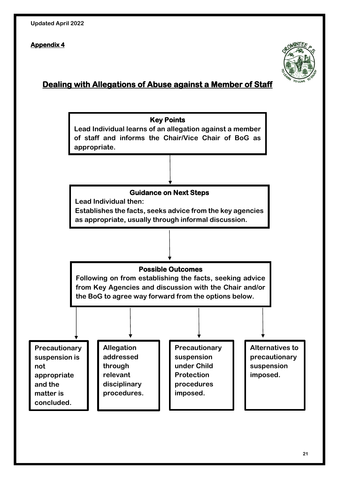

### **Dealing with Allegations of Abuse against a Member of Staff**

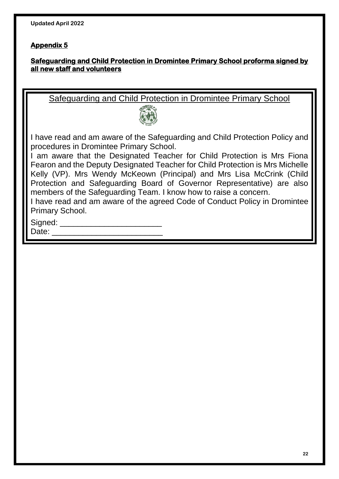#### **Safeguarding and Child Protection in Dromintee Primary School proforma signed by all new staff and volunteers**

Safeguarding and Child Protection in Dromintee Primary School



I have read and am aware of the Safeguarding and Child Protection Policy and procedures in Dromintee Primary School.

I am aware that the Designated Teacher for Child Protection is Mrs Fiona Fearon and the Deputy Designated Teacher for Child Protection is Mrs Michelle Kelly (VP). Mrs Wendy McKeown (Principal) and Mrs Lisa McCrink (Child Protection and Safeguarding Board of Governor Representative) are also members of the Safeguarding Team. I know how to raise a concern.

I have read and am aware of the agreed Code of Conduct Policy in Dromintee Primary School.

Signed:

Date: